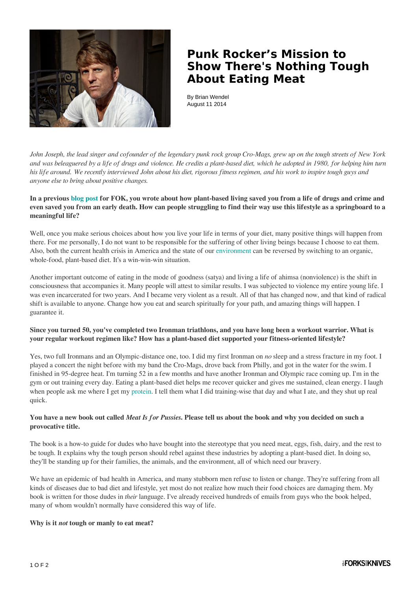

## **Punk Rocker's Mission to Show There's Nothing Tough About Eating Meat**

By Brian Wendel August 11 2014

*John Joseph, the lead singer and cofounder of the legendary punk rock group Cro-Mags, grew up on the tough streets of New York and was beleaguered by a life of drugs and violence. He credits a plant-based diet, which he adopted in 1980, for helping him turn his life around. We recently interviewed John about his diet, rigorous fitness regimen, and his work to inspire tough guys and anyone else to bring about positive changes.*

### **In a previous [blog post](http://www.forksoverknives.com/changing-my-diet-saved-me-from-an-early-grave/) for FOK, you wrote about how plant-based living saved you from a life of drugs and crime and even saved you from an early death. How can people struggling to find their way use this lifestyle as a springboard to a meaningful life?**

Well, once you make serious choices about how you live your life in terms of your diet, many positive things will happen from there. For me personally, I do not want to be responsible for the suffering of other living beings because I choose to eat them. Also, both the current health crisis in America and the state of our [environment](http://www.forksoverknives.com/tag/environment/) can be reversed by switching to an organic, whole-food, plant-based diet. It's a win-win-win situation.

Another important outcome of eating in the mode of goodness (satya) and living a life of ahimsa (nonviolence) is the shift in consciousness that accompanies it. Many people will attest to similar results. I was subjected to violence my entire young life. I was even incarcerated for two years. And I became very violent as a result. All of that has changed now, and that kind of radical shift is available to anyone. Change how you eat and search spiritually for your path, and amazing things will happen. I guarantee it.

## **Since you turned 50, you've completed two Ironman triathlons, and you have long been a workout warrior. What is your regular workout regimen like? How has a plant-based diet supported your fitness-oriented lifestyle?**

Yes, two full Ironmans and an Olympic-distance one, too. I did my first Ironman on *no* sleep and a stress fracture in my foot. I played a concert the night before with my band the Cro-Mags, drove back from Philly, and got in the water for the swim. I finished in 95-degree heat. I'm turning 52 in a few months and have another Ironman and Olympic race coming up. I'm in the gym or out training every day. Eating a plant-based diet helps me recover quicker and gives me sustained, clean energy. I laugh when people ask me where I get my [protein.](http://www.forksoverknives.com/tag/protein/) I tell them what I did training-wise that day and what I ate, and they shut up real quick.

#### **You have a new book out called** *Meat Is for Pussies***. Please tell us about the book and why you decided on such a provocative title.**

The book is a how-to guide for dudes who have bought into the stereotype that you need meat, eggs, fish, dairy, and the rest to be tough. It explains why the tough person should rebel against these industries by adopting a plant-based diet. In doing so, they'll be standing up for their families, the animals, and the environment, all of which need our bravery.

We have an epidemic of bad health in America, and many stubborn men refuse to listen or change. They're suffering from all kinds of diseases due to bad diet and lifestyle, yet most do not realize how much their food choices are damaging them. My book is written for those dudes in *their* language. I've already received hundreds of emails from guys who the book helped, many of whom wouldn't normally have considered this way of life.

#### **Why is it** *not* **tough or manly to eat meat?**